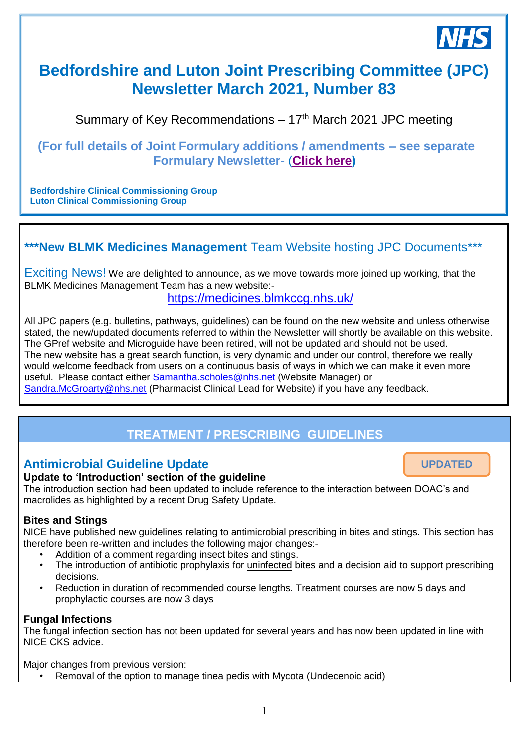

**UPDATED**

# **Bedfordshire and Luton Joint Prescribing Committee (JPC) Newsletter March 2021, Number 83**

Summary of Key Recommendations  $-17<sup>th</sup>$  March 2021 JPC meeting

**(For full details of Joint Formulary additions / amendments – see separate Formulary Newsletter-** (**[Click here\)](https://medicines.blmkccg.nhs.uk/newsletter/formulary-newsletter-march-2021-jpc/)** 

**Bedfordshire Clinical Commissioning Group Luton Clinical Commissioning Group**

### **\*\*\*New BLMK Medicines Management** Team Website hosting JPC Documents\*\*\*

Exciting News! We are delighted to announce, as we move towards more joined up working, that the BLMK Medicines Management Team has a new website:-

<https://medicines.blmkccg.nhs.uk/> *28th November 2018*

All JPC papers (e.g. bulletins, pathways, guidelines) can be found on the new website and unless otherwise stated, the new/updated documents referred to within the Newsletter will shortly be available on this website. The GPref website and Microguide have been retired, will not be updated and should not be used. The new website has a great search function, is very dynamic and under our control, therefore we really would welcome feedback from users on a continuous basis of ways in which we can make it even more useful. Please contact either [Samantha.scholes@nhs.net](mailto:Samantha.scholes@nhs.net) (Website Manager) or [Sandra.McGroarty@nhs.net](mailto:Sandra.McGroarty@nhs.net) (Pharmacist Clinical Lead for Website) if you have any feedback.

# **TREATMENT / PRESCRIBING GUIDELINES**

### **Antimicrobial Guideline Update**

#### **Update to 'Introduction' section of the guideline**

The introduction section had been updated to include reference to the interaction between DOAC's and macrolides as highlighted by a recent Drug Safety Update.

#### **Bites and Stings**

NICE have published new guidelines relating to antimicrobial prescribing in bites and stings. This section has therefore been re-written and includes the following major changes:-

- Addition of a comment regarding insect bites and stings.
	- The introduction of antibiotic prophylaxis for uninfected bites and a decision aid to support prescribing decisions.
	- Reduction in duration of recommended course lengths. Treatment courses are now 5 days and prophylactic courses are now 3 days

#### **Fungal Infections**

The fungal infection section has not been updated for several years and has now been updated in line with NICE CKS advice.

Major changes from previous version:

• Removal of the option to manage tinea pedis with Mycota (Undecenoic acid)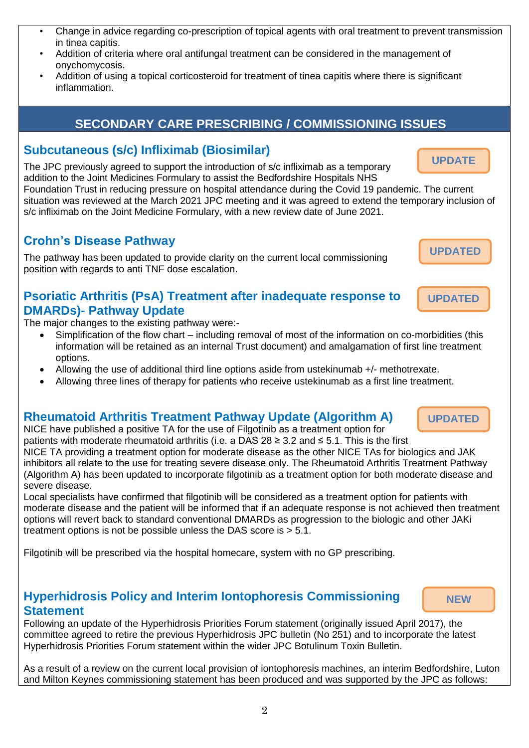- Change in advice regarding co-prescription of topical agents with oral treatment to prevent transmission in tinea capitis.
- Addition of criteria where oral antifungal treatment can be considered in the management of onychomycosis.
- Addition of using a topical corticosteroid for treatment of tinea capitis where there is significant inflammation.

# **SECONDARY CARE PRESCRIBING / COMMISSIONING ISSUES**

### **Subcutaneous (s/c) Infliximab (Biosimilar)**

The JPC previously agreed to support the introduction of s/c infliximab as a temporary addition to the Joint Medicines Formulary to assist the Bedfordshire Hospitals NHS

Foundation Trust in reducing pressure on hospital attendance during the Covid 19 pandemic. The current situation was reviewed at the March 2021 JPC meeting and it was agreed to extend the temporary inclusion of s/c infliximab on the Joint Medicine Formulary, with a new review date of June 2021.

## **Crohn's Disease Pathway**

The pathway has been updated to provide clarity on the current local commissioning position with regards to anti TNF dose escalation.

### **Psoriatic Arthritis (PsA) Treatment after inadequate response to DMARDs)- Pathway Update**

The major changes to the existing pathway were:-

- Simplification of the flow chart including removal of most of the information on co-morbidities (this information will be retained as an internal Trust document) and amalgamation of first line treatment options.
- Allowing the use of additional third line options aside from ustekinumab +/- methotrexate.
- Allowing three lines of therapy for patients who receive ustekinumab as a first line treatment.

# **Rheumatoid Arthritis Treatment Pathway Update (Algorithm A)**

NICE have published a positive TA for the use of Filgotinib as a treatment option for patients with moderate rheumatoid arthritis (i.e. a DAS 28 ≥ 3.2 and ≤ 5.1. This is the first NICE TA providing a treatment option for moderate disease as the other NICE TAs for biologics and JAK inhibitors all relate to the use for treating severe disease only. The Rheumatoid Arthritis Treatment Pathway (Algorithm A) has been updated to incorporate filgotinib as a treatment option for both moderate disease and severe disease.

Local specialists have confirmed that filgotinib will be considered as a treatment option for patients with moderate disease and the patient will be informed that if an adequate response is not achieved then treatment options will revert back to standard conventional DMARDs as progression to the biologic and other JAKi treatment options is not be possible unless the DAS score is > 5.1.

Filgotinib will be prescribed via the hospital homecare, system with no GP prescribing.

## **Hyperhidrosis Policy and Interim Iontophoresis Commissioning Statement**

Following an update of the Hyperhidrosis Priorities Forum statement (originally issued April 2017), the committee agreed to retire the previous Hyperhidrosis JPC bulletin (No 251) and to incorporate the latest Hyperhidrosis Priorities Forum statement within the wider JPC Botulinum Toxin Bulletin.

As a result of a review on the current local provision of iontophoresis machines, an interim Bedfordshire, Luton and Milton Keynes commissioning statement has been produced and was supported by the JPC as follows:

**UPDATE**

**NEW**



**UPDATED**

**UPDATED**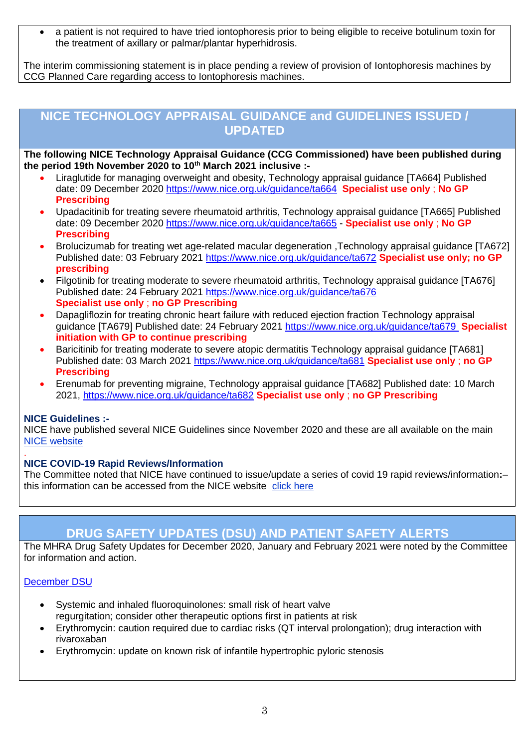a patient is not required to have tried iontophoresis prior to being eligible to receive botulinum toxin for the treatment of axillary or palmar/plantar hyperhidrosis.

The interim commissioning statement is in place pending a review of provision of Iontophoresis machines by CCG Planned Care regarding access to Iontophoresis machines.

### **NICE TECHNOLOGY APPRAISAL GUIDANCE and GUIDELINES ISSUED / UPDATED**

**The following NICE Technology Appraisal Guidance (CCG Commissioned) have been published during the period 19th November 2020 to 10th March 2021 inclusive :-**

- Liraglutide for managing overweight and obesity, Technology appraisal guidance [TA664] Published date: 09 December 2020<https://www.nice.org.uk/guidance/ta664>**Specialist use only** ; **No GP Prescribing**
- Upadacitinib for treating severe rheumatoid arthritis, Technology appraisal guidance [TA665] Published date: 09 December 2020<https://www.nice.org.uk/guidance/ta665> - **Specialist use only** ; **No GP Prescribing**
- Brolucizumab for treating wet age-related macular degeneration ,Technology appraisal guidance [TA672] Published date: 03 February 2021<https://www.nice.org.uk/guidance/ta672> **Specialist use only; no GP prescribing**
- Filgotinib for treating moderate to severe rheumatoid arthritis, Technology appraisal guidance [TA676] Published date: 24 February 2021 <https://www.nice.org.uk/guidance/ta676> **Specialist use only** ; **no GP Prescribing**
- Dapagliflozin for treating chronic heart failure with reduced ejection fraction Technology appraisal guidance [TA679] Published date: 24 February 2021<https://www.nice.org.uk/guidance/ta679> **Specialist initiation with GP to continue prescribing**
- Baricitinib for treating moderate to severe atopic dermatitis Technology appraisal guidance [TA681] Published date: 03 March 2021<https://www.nice.org.uk/guidance/ta681> **Specialist use only** ; **no GP Prescribing**
- Erenumab for preventing migraine, Technology appraisal guidance [TA682] Published date: 10 March 2021,<https://www.nice.org.uk/guidance/ta682> **Specialist use only** ; **no GP Prescribing**

#### **NICE Guidelines :-**

NICE have published several NICE Guidelines since November 2020 and these are all available on the main [NICE website](https://www.nice.org.uk/)

#### . **NICE COVID-19 Rapid Reviews/Information**

The Committee noted that NICE have continued to issue/update a series of covid 19 rapid reviews/information**:**– this information can be accessed from the NICE website [click here](https://www.nice.org.uk/covid-19)

### **DRUG SAFETY UPDATES (DSU) AND PATIENT SAFETY ALERTS**

The MHRA Drug Safety Updates for December 2020, January and February 2021 were noted by the Committee for information and action.

#### [December](https://assets.publishing.service.gov.uk/government/uploads/system/uploads/attachment_data/file/945824/Dec-2020-DSU-PDF-1712.pdf) DSU

- Systemic and inhaled fluoroquinolones: small risk of heart valve regurgitation; consider other therapeutic options first in patients at risk
- Erythromycin: caution required due to cardiac risks (QT interval prolongation); drug interaction with rivaroxaban
- Erythromycin: update on known risk of infantile hypertrophic pyloric stenosis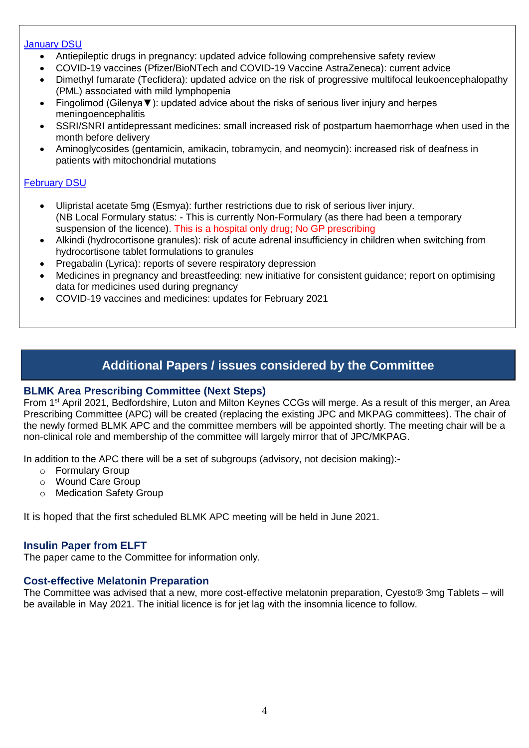#### [January DSU](https://assets.publishing.service.gov.uk/government/uploads/system/uploads/attachment_data/file/950307/Jan-2021-DSU-PDF-pub.pdf)

- Antiepileptic drugs in pregnancy: updated advice following comprehensive safety review
- COVID-19 vaccines (Pfizer/BioNTech and COVID-19 Vaccine AstraZeneca): current advice
- Dimethyl fumarate (Tecfidera): updated advice on the risk of progressive multifocal leukoencephalopathy (PML) associated with mild lymphopenia
- Fingolimod (Gilenya▼): updated advice about the risks of serious liver injury and herpes meningoencephalitis
- SSRI/SNRI antidepressant medicines: small increased risk of postpartum haemorrhage when used in the month before delivery
- Aminoglycosides (gentamicin, amikacin, tobramycin, and neomycin): increased risk of deafness in patients with mitochondrial mutations

#### [February DSU](https://assets.publishing.service.gov.uk/government/uploads/system/uploads/attachment_data/file/962557/Feb-2021-DSU-PDF_final.pdf)

- Ulipristal acetate 5mg (Esmya): further restrictions due to risk of serious liver injury. (NB Local Formulary status: - This is currently Non-Formulary (as there had been a temporary suspension of the licence). This is a hospital only drug; No GP prescribing
- Alkindi (hydrocortisone granules): risk of acute adrenal insufficiency in children when switching from hydrocortisone tablet formulations to granules
- Pregabalin (Lyrica): reports of severe respiratory depression
- Medicines in pregnancy and breastfeeding: new initiative for consistent guidance; report on optimising data for medicines used during pregnancy
- COVID-19 vaccines and medicines: updates for February 2021

## **Additional Papers / issues considered by the Committee**

#### **BLMK Area Prescribing Committee (Next Steps)**

From 1st April 2021, Bedfordshire, Luton and Milton Keynes CCGs will merge. As a result of this merger, an Area Prescribing Committee (APC) will be created (replacing the existing JPC and MKPAG committees). The chair of the newly formed BLMK APC and the committee members will be appointed shortly. The meeting chair will be a non-clinical role and membership of the committee will largely mirror that of JPC/MKPAG.

In addition to the APC there will be a set of subgroups (advisory, not decision making):-

- o Formulary Group
- o Wound Care Group
- o Medication Safety Group

It is hoped that the first scheduled BLMK APC meeting will be held in June 2021.

#### **Insulin Paper from ELFT**

The paper came to the Committee for information only.

#### **Cost-effective Melatonin Preparation**

The Committee was advised that a new, more cost-effective melatonin preparation, Cyesto® 3mg Tablets – will be available in May 2021. The initial licence is for jet lag with the insomnia licence to follow.